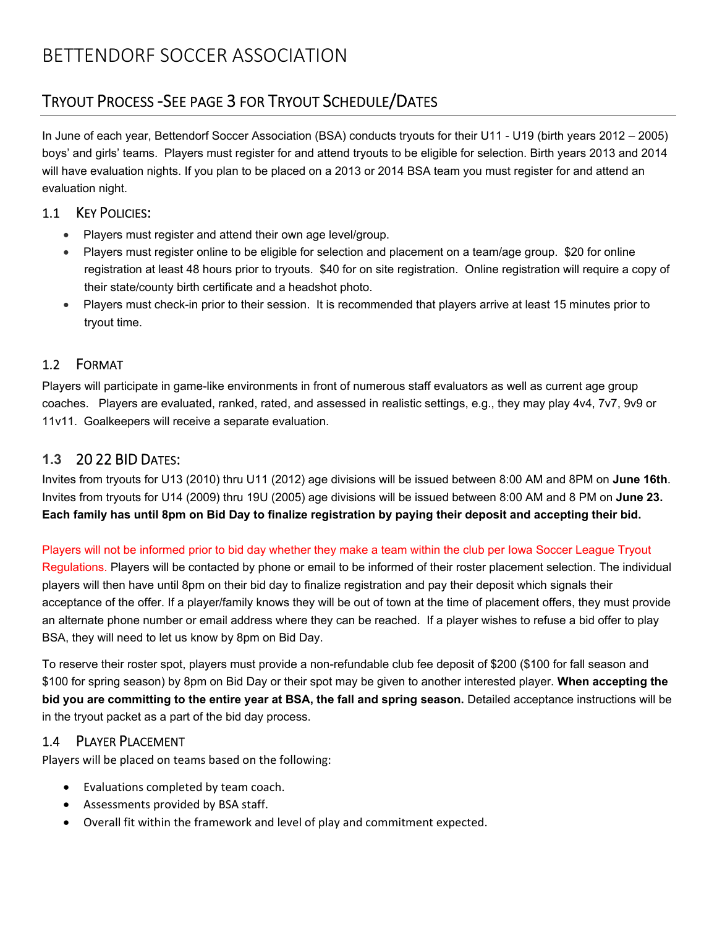## TRYOUT PROCESS ‐SEE PAGE 3 FOR TRYOUT SCHEDULE/DATES

In June of each year, Bettendorf Soccer Association (BSA) conducts tryouts for their U11 - U19 (birth years 2012 – 2005) boys' and girls' teams. Players must register for and attend tryouts to be eligible for selection. Birth years 2013 and 2014 will have evaluation nights. If you plan to be placed on a 2013 or 2014 BSA team you must register for and attend an evaluation night.

#### 1.1 KEY POLICIES:

- Players must register and attend their own age level/group.
- Players must register online to be eligible for selection and placement on a team/age group. \$20 for online registration at least 48 hours prior to tryouts. \$40 for on site registration. Online registration will require a copy of their state/county birth certificate and a headshot photo.
- Players must check-in prior to their session. It is recommended that players arrive at least 15 minutes prior to tryout time.

#### 1.2 FORMAT

Players will participate in game-like environments in front of numerous staff evaluators as well as current age group coaches. Players are evaluated, ranked, rated, and assessed in realistic settings, e.g., they may play 4v4, 7v7, 9v9 or 11v11. Goalkeepers will receive a separate evaluation.

#### **1.3** 20 22 BID DATES:

Invites from tryouts for U13 (2010) thru U11 (2012) age divisions will be issued between 8:00 AM and 8PM on **June 16th**. Invites from tryouts for U14 (2009) thru 19U (2005) age divisions will be issued between 8:00 AM and 8 PM on **June 23. Each family has until 8pm on Bid Day to finalize registration by paying their deposit and accepting their bid.**

Players will not be informed prior to bid day whether they make a team within the club per Iowa Soccer League Tryout Regulations. Players will be contacted by phone or email to be informed of their roster placement selection. The individual players will then have until 8pm on their bid day to finalize registration and pay their deposit which signals their acceptance of the offer. If a player/family knows they will be out of town at the time of placement offers, they must provide an alternate phone number or email address where they can be reached. If a player wishes to refuse a bid offer to play BSA, they will need to let us know by 8pm on Bid Day.

To reserve their roster spot, players must provide a non-refundable club fee deposit of \$200 (\$100 for fall season and \$100 for spring season) by 8pm on Bid Day or their spot may be given to another interested player. **When accepting the bid you are committing to the entire year at BSA, the fall and spring season.** Detailed acceptance instructions will be in the tryout packet as a part of the bid day process.

#### 1.4 PLAYER PLACEMENT

Players will be placed on teams based on the following:

- Evaluations completed by team coach.
- Assessments provided by BSA staff.
- Overall fit within the framework and level of play and commitment expected.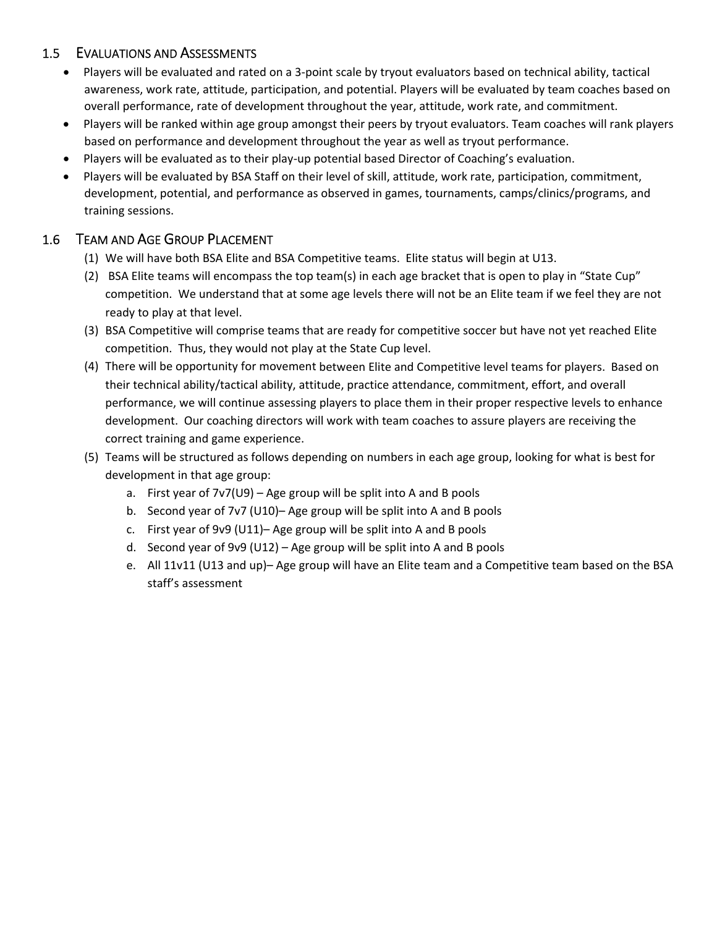#### 1.5 EVALUATIONS AND ASSESSMENTS

- Players will be evaluated and rated on a 3-point scale by tryout evaluators based on technical ability, tactical awareness, work rate, attitude, participation, and potential. Players will be evaluated by team coaches based on overall performance, rate of development throughout the year, attitude, work rate, and commitment.
- Players will be ranked within age group amongst their peers by tryout evaluators. Team coaches will rank players based on performance and development throughout the year as well as tryout performance.
- Players will be evaluated as to their play-up potential based Director of Coaching's evaluation.
- Players will be evaluated by BSA Staff on their level of skill, attitude, work rate, participation, commitment, development, potential, and performance as observed in games, tournaments, camps/clinics/programs, and training sessions.

### 1.6 TEAM AND AGE GROUP PLACEMENT

- (1) We will have both BSA Elite and BSA Competitive teams. Elite status will begin at U13.
- (2) BSA Elite teams will encompass the top team(s) in each age bracket that is open to play in "State Cup" competition. We understand that at some age levels there will not be an Elite team if we feel they are not ready to play at that level.
- (3) BSA Competitive will comprise teams that are ready for competitive soccer but have not yet reached Elite competition. Thus, they would not play at the State Cup level.
- (4) There will be opportunity for movement between Elite and Competitive level teams for players. Based on their technical ability/tactical ability, attitude, practice attendance, commitment, effort, and overall performance, we will continue assessing players to place them in their proper respective levels to enhance development. Our coaching directors will work with team coaches to assure players are receiving the correct training and game experience.
- (5) Teams will be structured as follows depending on numbers in each age group, looking for what is best for development in that age group:
	- a. First year of 7v7(U9) Age group will be split into A and B pools
	- b. Second year of 7v7 (U10)– Age group will be split into A and B pools
	- c. First year of 9v9 (U11)– Age group will be split into A and B pools
	- d. Second year of 9v9 (U12) Age group will be split into A and B pools
	- e. All 11v11 (U13 and up)– Age group will have an Elite team and a Competitive team based on the BSA staff's assessment